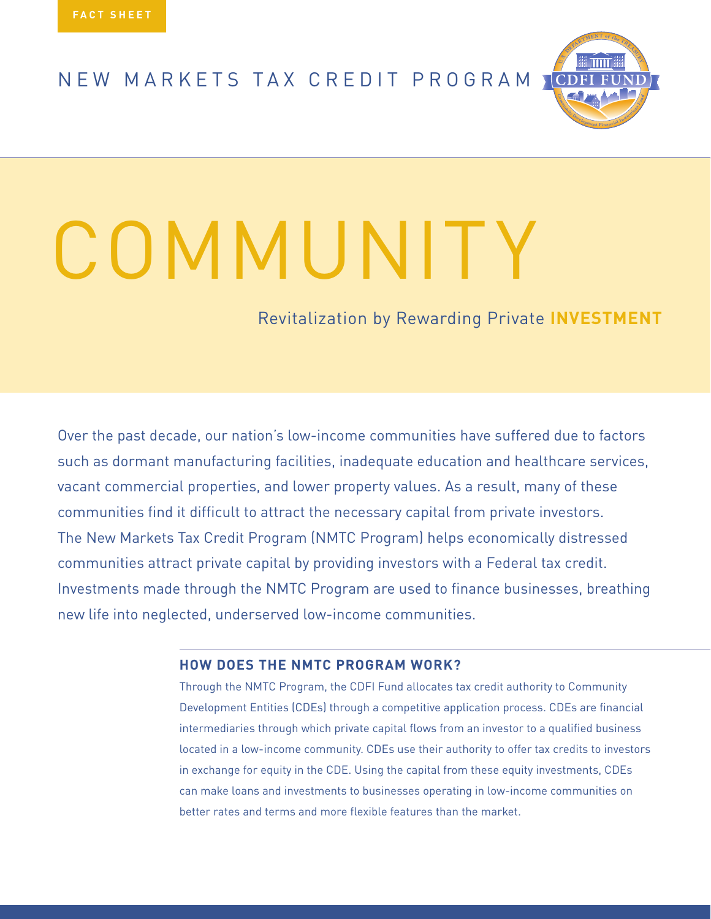NEW MARKETS TAX CREDIT PROGRAM



# COMMUNITY

Revitalization by Rewarding Private **INVESTMENT**

Over the past decade, our nation's low-income communities have suffered due to factors such as dormant manufacturing facilities, inadequate education and healthcare services, vacant commercial properties, and lower property values. As a result, many of these communities find it difficult to attract the necessary capital from private investors. The New Markets Tax Credit Program (NMTC Program) helps economically distressed communities attract private capital by providing investors with a Federal tax credit. Investments made through the NMTC Program are used to finance businesses, breathing new life into neglected, underserved low-income communities.

## **How Does the NMTC PROGRAM WORK?**

Through the NMTC Program, the CDFI Fund allocates tax credit authority to Community Development Entities (CDEs) through a competitive application process. CDEs are financial intermediaries through which private capital flows from an investor to a qualified business located in a low-income community. CDEs use their authority to offer tax credits to investors in exchange for equity in the CDE. Using the capital from these equity investments, CDEs can make loans and investments to businesses operating in low-income communities on better rates and terms and more flexible features than the market.